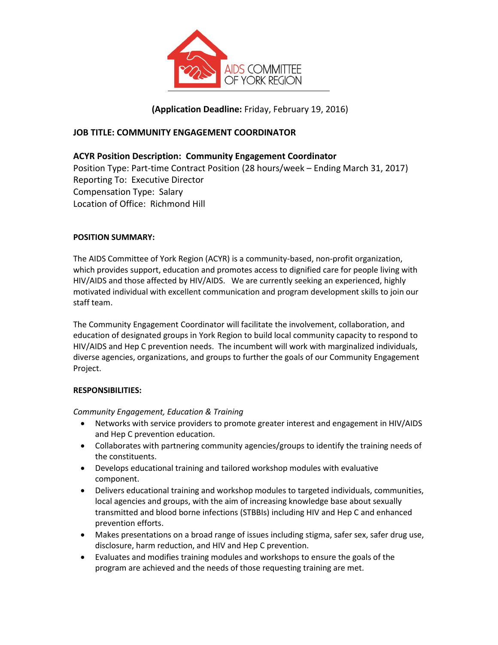

**(Application Deadline:** Friday, February 19, 2016)

# **JOB TITLE: COMMUNITY ENGAGEMENT COORDINATOR**

# **ACYR Position Description: Community Engagement Coordinator**

Position Type: Part-time Contract Position (28 hours/week – Ending March 31, 2017) Reporting To: Executive Director Compensation Type: Salary Location of Office: Richmond Hill

## **POSITION SUMMARY:**

The AIDS Committee of York Region (ACYR) is a community-based, non-profit organization, which provides support, education and promotes access to dignified care for people living with HIV/AIDS and those affected by HIV/AIDS. We are currently seeking an experienced, highly motivated individual with excellent communication and program development skills to join our staff team.

The Community Engagement Coordinator will facilitate the involvement, collaboration, and education of designated groups in York Region to build local community capacity to respond to HIV/AIDS and Hep C prevention needs. The incumbent will work with marginalized individuals, diverse agencies, organizations, and groups to further the goals of our Community Engagement Project.

## **RESPONSIBILITIES:**

*Community Engagement, Education & Training*

- Networks with service providers to promote greater interest and engagement in HIV/AIDS and Hep C prevention education.
- Collaborates with partnering community agencies/groups to identify the training needs of the constituents.
- Develops educational training and tailored workshop modules with evaluative component.
- Delivers educational training and workshop modules to targeted individuals, communities, local agencies and groups, with the aim of increasing knowledge base about sexually transmitted and blood borne infections (STBBIs) including HIV and Hep C and enhanced prevention efforts.
- Makes presentations on a broad range of issues including stigma, safer sex, safer drug use, disclosure, harm reduction, and HIV and Hep C prevention.
- Evaluates and modifies training modules and workshops to ensure the goals of the program are achieved and the needs of those requesting training are met.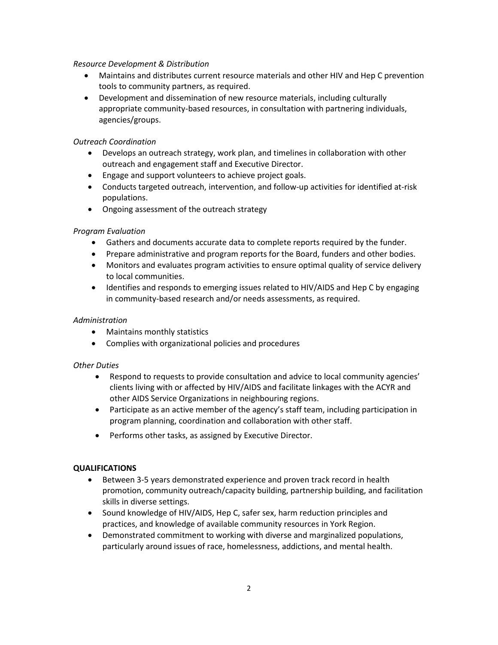#### *Resource Development & Distribution*

- Maintains and distributes current resource materials and other HIV and Hep C prevention tools to community partners, as required.
- Development and dissemination of new resource materials, including culturally appropriate community-based resources, in consultation with partnering individuals, agencies/groups.

#### *Outreach Coordination*

- Develops an outreach strategy, work plan, and timelines in collaboration with other outreach and engagement staff and Executive Director.
- Engage and support volunteers to achieve project goals.
- Conducts targeted outreach, intervention, and follow-up activities for identified at-risk populations.
- Ongoing assessment of the outreach strategy

## *Program Evaluation*

- Gathers and documents accurate data to complete reports required by the funder.
- Prepare administrative and program reports for the Board, funders and other bodies.
- Monitors and evaluates program activities to ensure optimal quality of service delivery to local communities.
- Identifies and responds to emerging issues related to HIV/AIDS and Hep C by engaging in community-based research and/or needs assessments, as required.

### *Administration*

- Maintains monthly statistics
- Complies with organizational policies and procedures

#### *Other Duties*

- Respond to requests to provide consultation and advice to local community agencies' clients living with or affected by HIV/AIDS and facilitate linkages with the ACYR and other AIDS Service Organizations in neighbouring regions.
- Participate as an active member of the agency's staff team, including participation in program planning, coordination and collaboration with other staff.
- Performs other tasks, as assigned by Executive Director.

## **QUALIFICATIONS**

- Between 3-5 years demonstrated experience and proven track record in health promotion, community outreach/capacity building, partnership building, and facilitation skills in diverse settings.
- Sound knowledge of HIV/AIDS, Hep C, safer sex, harm reduction principles and practices, and knowledge of available community resources in York Region.
- Demonstrated commitment to working with diverse and marginalized populations, particularly around issues of race, homelessness, addictions, and mental health.